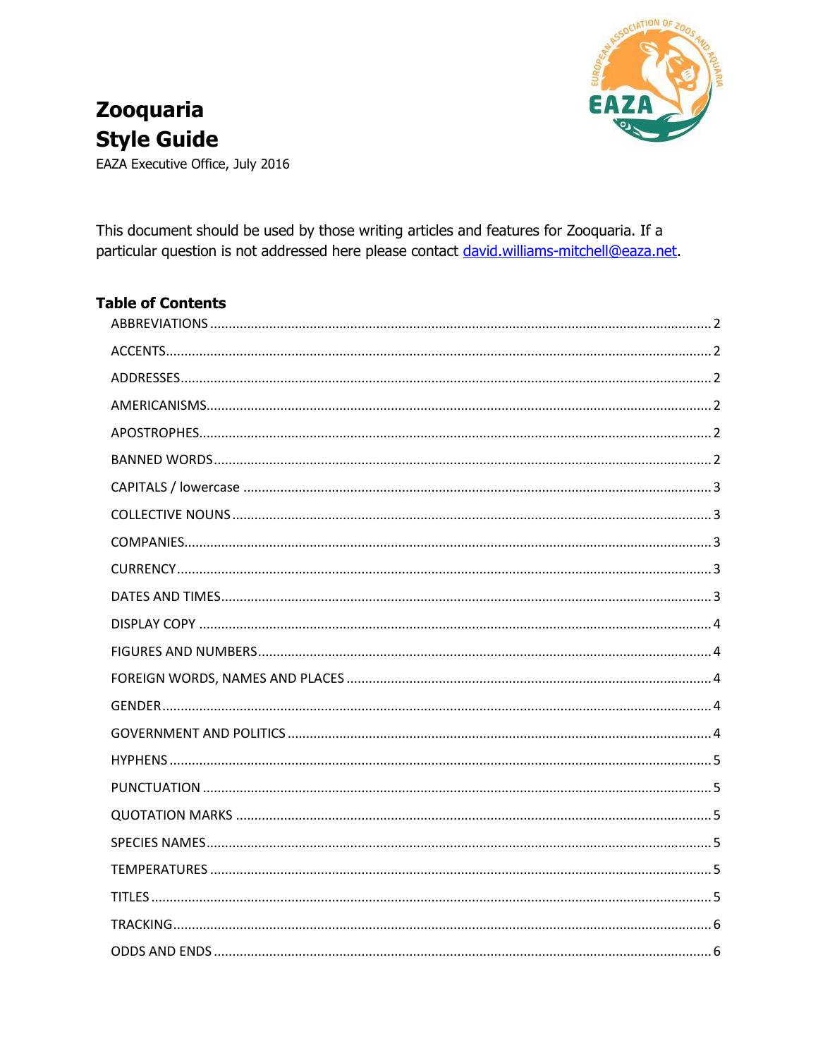

# **Zooquaria Style Guide**

EAZA Executive Office, July 2016

This document should be used by those writing articles and features for Zooguaria. If a particular question is not addressed here please contact david.williams-mitchell@eaza.net.

## **Table of Contents**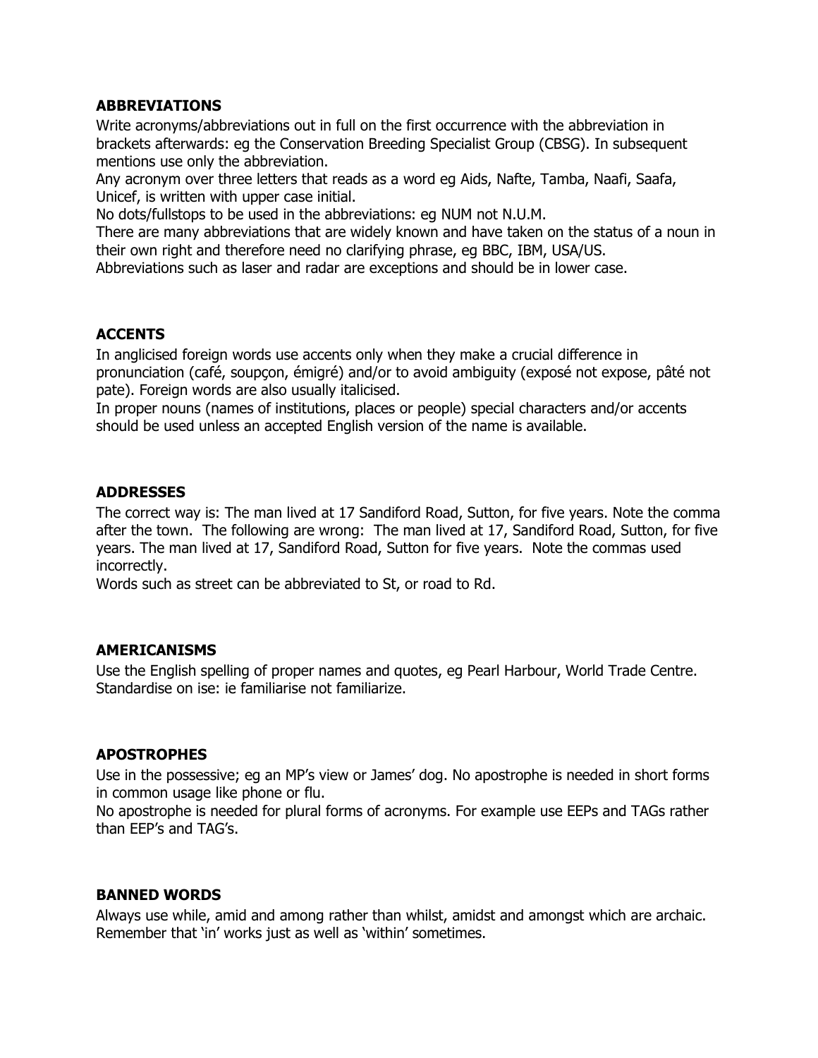## <span id="page-1-0"></span>**ABBREVIATIONS**

Write acronyms/abbreviations out in full on the first occurrence with the abbreviation in brackets afterwards: eg the Conservation Breeding Specialist Group (CBSG). In subsequent mentions use only the abbreviation.

Any acronym over three letters that reads as a word eg Aids, Nafte, Tamba, Naafi, Saafa, Unicef, is written with upper case initial.

No dots/fullstops to be used in the abbreviations: eg NUM not N.U.M.

There are many abbreviations that are widely known and have taken on the status of a noun in their own right and therefore need no clarifying phrase, eg BBC, IBM, USA/US.

Abbreviations such as laser and radar are exceptions and should be in lower case.

## <span id="page-1-1"></span>**ACCENTS**

In anglicised foreign words use accents only when they make a crucial difference in pronunciation (café, soupçon, émigré) and/or to avoid ambiguity (exposé not expose, pâté not pate). Foreign words are also usually italicised.

In proper nouns (names of institutions, places or people) special characters and/or accents should be used unless an accepted English version of the name is available.

## <span id="page-1-2"></span>**ADDRESSES**

The correct way is: The man lived at 17 Sandiford Road, Sutton, for five years. Note the comma after the town. The following are wrong: The man lived at 17, Sandiford Road, Sutton, for five years. The man lived at 17, Sandiford Road, Sutton for five years. Note the commas used incorrectly.

Words such as street can be abbreviated to St, or road to Rd.

## <span id="page-1-3"></span>**AMERICANISMS**

Use the English spelling of proper names and quotes, eg Pearl Harbour, World Trade Centre. Standardise on ise: ie familiarise not familiarize.

## <span id="page-1-4"></span>**APOSTROPHES**

Use in the possessive; eg an MP's view or James' dog. No apostrophe is needed in short forms in common usage like phone or flu.

No apostrophe is needed for plural forms of acronyms. For example use EEPs and TAGs rather than EEP's and TAG's.

#### <span id="page-1-5"></span>**BANNED WORDS**

Always use while, amid and among rather than whilst, amidst and amongst which are archaic. Remember that 'in' works just as well as 'within' sometimes.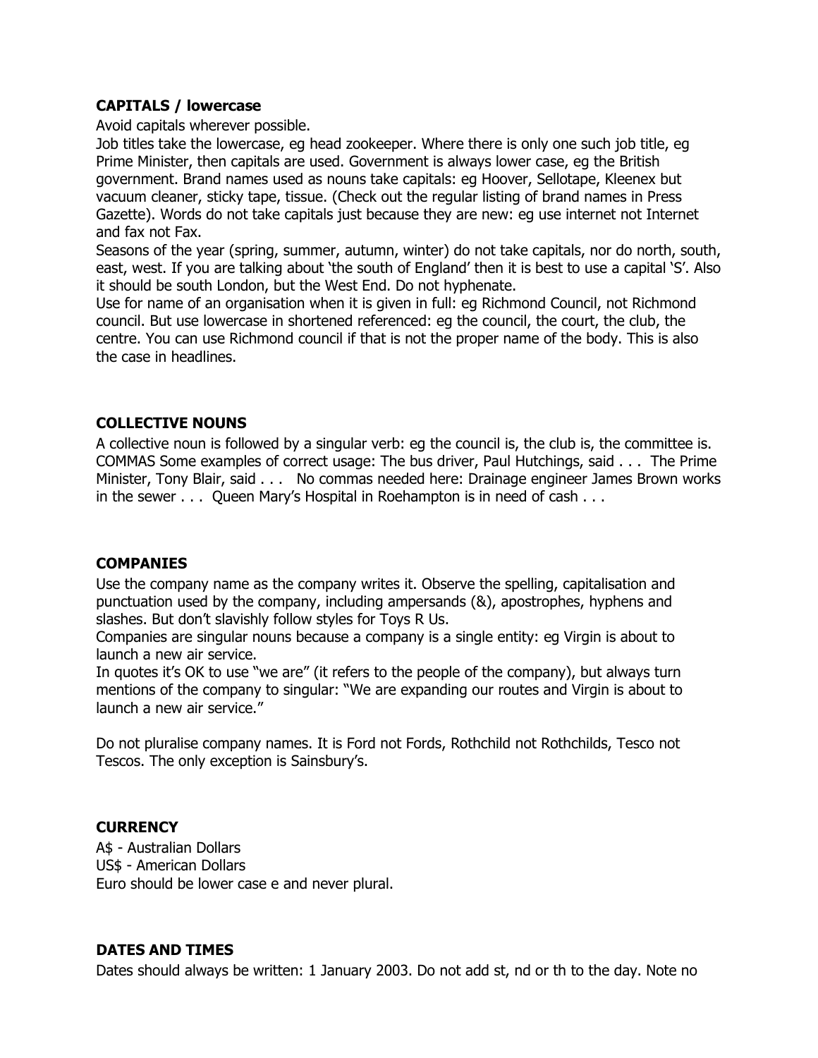## <span id="page-2-0"></span>**CAPITALS / lowercase**

Avoid capitals wherever possible.

Job titles take the lowercase, eg head zookeeper. Where there is only one such job title, eg Prime Minister, then capitals are used. Government is always lower case, eg the British government. Brand names used as nouns take capitals: eg Hoover, Sellotape, Kleenex but vacuum cleaner, sticky tape, tissue. (Check out the regular listing of brand names in Press Gazette). Words do not take capitals just because they are new: eg use internet not Internet and fax not Fax.

Seasons of the year (spring, summer, autumn, winter) do not take capitals, nor do north, south, east, west. If you are talking about 'the south of England' then it is best to use a capital 'S'. Also it should be south London, but the West End. Do not hyphenate.

Use for name of an organisation when it is given in full: eg Richmond Council, not Richmond council. But use lowercase in shortened referenced: eg the council, the court, the club, the centre. You can use Richmond council if that is not the proper name of the body. This is also the case in headlines.

## <span id="page-2-1"></span>**COLLECTIVE NOUNS**

A collective noun is followed by a singular verb: eg the council is, the club is, the committee is. COMMAS Some examples of correct usage: The bus driver, Paul Hutchings, said . . . The Prime Minister, Tony Blair, said . . . No commas needed here: Drainage engineer James Brown works in the sewer . . . Queen Mary's Hospital in Roehampton is in need of cash . . .

## <span id="page-2-2"></span>**COMPANIES**

Use the company name as the company writes it. Observe the spelling, capitalisation and punctuation used by the company, including ampersands (&), apostrophes, hyphens and slashes. But don't slavishly follow styles for Toys R Us.

Companies are singular nouns because a company is a single entity: eg Virgin is about to launch a new air service.

In quotes it's OK to use "we are" (it refers to the people of the company), but always turn mentions of the company to singular: "We are expanding our routes and Virgin is about to launch a new air service."

Do not pluralise company names. It is Ford not Fords, Rothchild not Rothchilds, Tesco not Tescos. The only exception is Sainsbury's.

## <span id="page-2-3"></span>**CURRENCY**

A\$ - Australian Dollars US\$ - American Dollars Euro should be lower case e and never plural.

## <span id="page-2-4"></span>**DATES AND TIMES**

Dates should always be written: 1 January 2003. Do not add st, nd or th to the day. Note no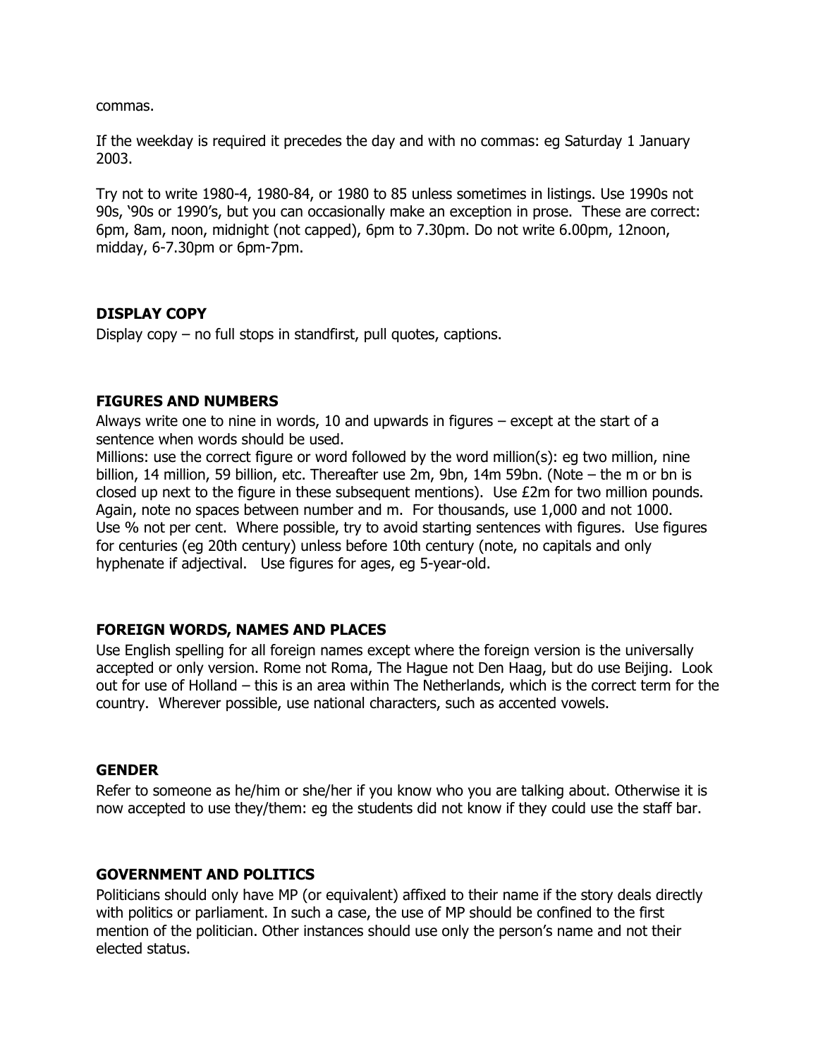commas.

If the weekday is required it precedes the day and with no commas: eg Saturday 1 January 2003.

Try not to write 1980-4, 1980-84, or 1980 to 85 unless sometimes in listings. Use 1990s not 90s, '90s or 1990's, but you can occasionally make an exception in prose. These are correct: 6pm, 8am, noon, midnight (not capped), 6pm to 7.30pm. Do not write 6.00pm, 12noon, midday, 6-7.30pm or 6pm-7pm.

#### <span id="page-3-0"></span>**DISPLAY COPY**

Display copy – no full stops in standfirst, pull quotes, captions.

## <span id="page-3-1"></span>**FIGURES AND NUMBERS**

Always write one to nine in words, 10 and upwards in figures – except at the start of a sentence when words should be used.

Millions: use the correct figure or word followed by the word million(s): eg two million, nine billion, 14 million, 59 billion, etc. Thereafter use 2m, 9bn, 14m 59bn. (Note – the m or bn is closed up next to the figure in these subsequent mentions). Use £2m for two million pounds. Again, note no spaces between number and m. For thousands, use 1,000 and not 1000. Use % not per cent. Where possible, try to avoid starting sentences with figures. Use figures for centuries (eg 20th century) unless before 10th century (note, no capitals and only hyphenate if adjectival. Use figures for ages, eg 5-year-old.

## <span id="page-3-2"></span>**FOREIGN WORDS, NAMES AND PLACES**

Use English spelling for all foreign names except where the foreign version is the universally accepted or only version. Rome not Roma, The Hague not Den Haag, but do use Beijing. Look out for use of Holland – this is an area within The Netherlands, which is the correct term for the country. Wherever possible, use national characters, such as accented vowels.

#### <span id="page-3-3"></span>**GENDER**

Refer to someone as he/him or she/her if you know who you are talking about. Otherwise it is now accepted to use they/them: eg the students did not know if they could use the staff bar.

## <span id="page-3-4"></span>**GOVERNMENT AND POLITICS**

Politicians should only have MP (or equivalent) affixed to their name if the story deals directly with politics or parliament. In such a case, the use of MP should be confined to the first mention of the politician. Other instances should use only the person's name and not their elected status.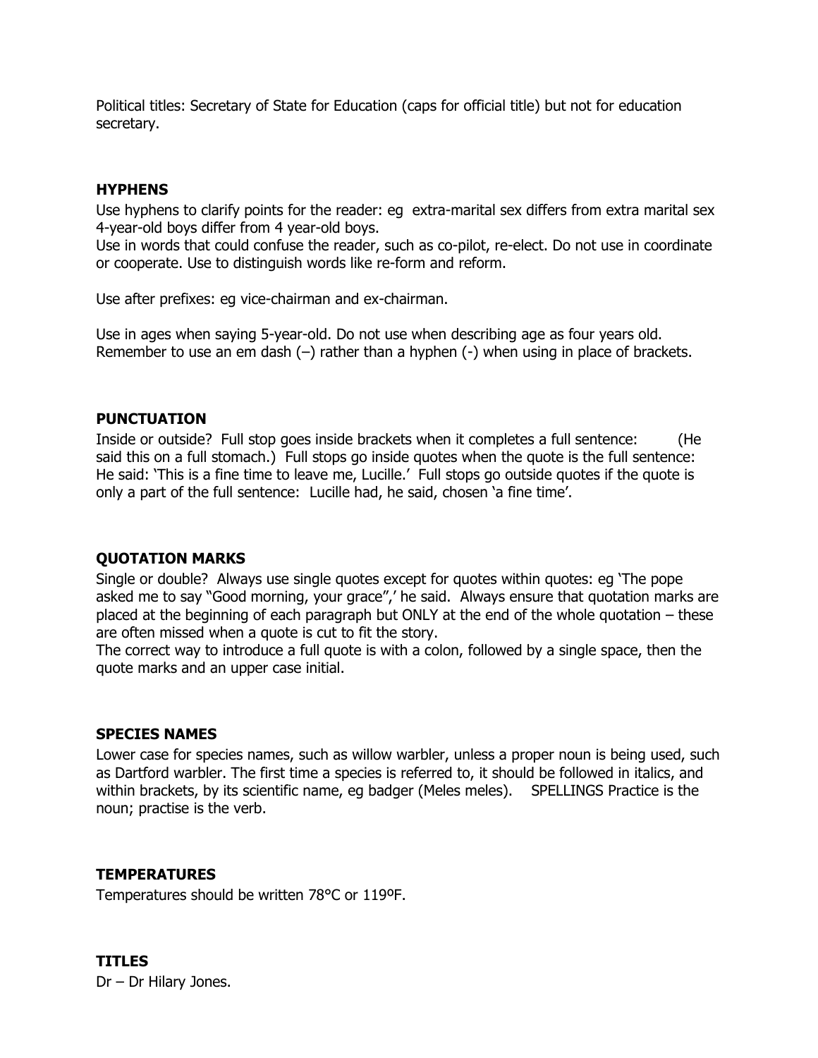Political titles: Secretary of State for Education (caps for official title) but not for education secretary.

## <span id="page-4-0"></span>**HYPHENS**

Use hyphens to clarify points for the reader: eg extra-marital sex differs from extra marital sex 4-year-old boys differ from 4 year-old boys.

Use in words that could confuse the reader, such as co-pilot, re-elect. Do not use in coordinate or cooperate. Use to distinguish words like re-form and reform.

Use after prefixes: eg vice-chairman and ex-chairman.

Use in ages when saying 5-year-old. Do not use when describing age as four years old. Remember to use an em dash  $(-)$  rather than a hyphen  $(-)$  when using in place of brackets.

## <span id="page-4-1"></span>**PUNCTUATION**

Inside or outside? Full stop goes inside brackets when it completes a full sentence: (He said this on a full stomach.) Full stops go inside quotes when the quote is the full sentence: He said: 'This is a fine time to leave me, Lucille.' Full stops go outside quotes if the quote is only a part of the full sentence: Lucille had, he said, chosen 'a fine time'.

## <span id="page-4-2"></span>**QUOTATION MARKS**

Single or double? Always use single quotes except for quotes within quotes: eg 'The pope asked me to say "Good morning, your grace",' he said. Always ensure that quotation marks are placed at the beginning of each paragraph but ONLY at the end of the whole quotation – these are often missed when a quote is cut to fit the story.

The correct way to introduce a full quote is with a colon, followed by a single space, then the quote marks and an upper case initial.

## <span id="page-4-3"></span>**SPECIES NAMES**

Lower case for species names, such as willow warbler, unless a proper noun is being used, such as Dartford warbler. The first time a species is referred to, it should be followed in italics, and within brackets, by its scientific name, eg badger (Meles meles). SPELLINGS Practice is the noun; practise is the verb.

## <span id="page-4-4"></span>**TEMPERATURES**

<span id="page-4-5"></span>Temperatures should be written 78°C or 119ºF.